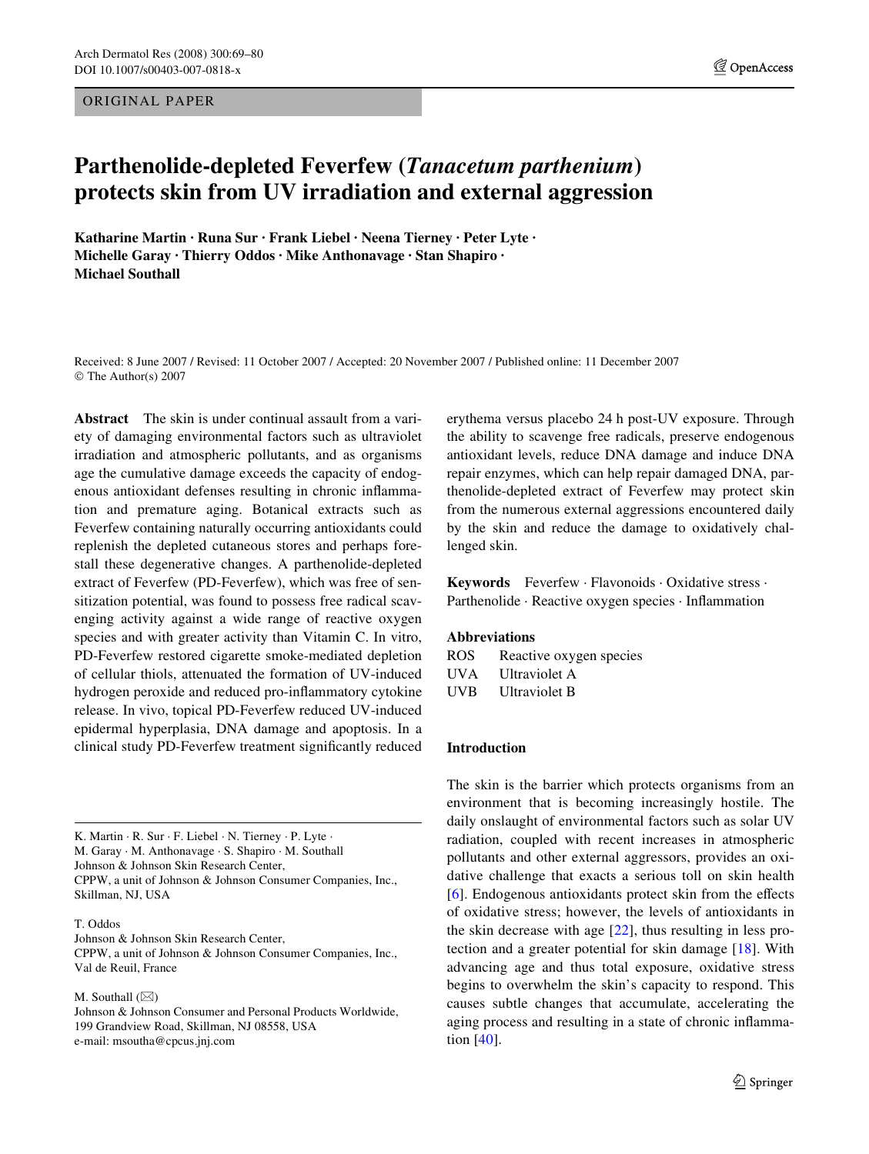ORIGINAL PAPER

# **Parthenolide-depleted Feverfew (***Tanacetum parthenium***) protects skin from UV irradiation and external aggression**

**Katharine Martin · Runa Sur · Frank Liebel · Neena Tierney · Peter Lyte · Michelle Garay · Thierry Oddos · Mike Anthonavage · Stan Shapiro · Michael Southall** 

Received: 8 June 2007 / Revised: 11 October 2007 / Accepted: 20 November 2007 / Published online: 11 December 2007 The Author(s) 2007

**Abstract** The skin is under continual assault from a variety of damaging environmental factors such as ultraviolet irradiation and atmospheric pollutants, and as organisms age the cumulative damage exceeds the capacity of endogenous antioxidant defenses resulting in chronic inflammation and premature aging. Botanical extracts such as Feverfew containing naturally occurring antioxidants could replenish the depleted cutaneous stores and perhaps forestall these degenerative changes. A parthenolide-depleted extract of Feverfew (PD-Feverfew), which was free of sensitization potential, was found to possess free radical scavenging activity against a wide range of reactive oxygen species and with greater activity than Vitamin C. In vitro, PD-Feverfew restored cigarette smoke-mediated depletion of cellular thiols, attenuated the formation of UV-induced hydrogen peroxide and reduced pro-inflammatory cytokine release. In vivo, topical PD-Feverfew reduced UV-induced epidermal hyperplasia, DNA damage and apoptosis. In a clinical study PD-Feverfew treatment significantly reduced

K. Martin · R. Sur · F. Liebel · N. Tierney · P. Lyte · M. Garay · M. Anthonavage · S. Shapiro · M. Southall Johnson & Johnson Skin Research Center, CPPW, a unit of Johnson & Johnson Consumer Companies, Inc., Skillman, NJ, USA

T. Oddos Johnson & Johnson Skin Research Center, CPPW, a unit of Johnson & Johnson Consumer Companies, Inc., Val de Reuil, France

M. Southall  $(\boxtimes)$ 

Johnson & Johnson Consumer and Personal Products Worldwide, 199 Grandview Road, Skillman, NJ 08558, USA e-mail: msoutha@cpcus.jnj.com

erythema versus placebo 24 h post-UV exposure. Through the ability to scavenge free radicals, preserve endogenous antioxidant levels, reduce DNA damage and induce DNA repair enzymes, which can help repair damaged DNA, parthenolide-depleted extract of Feverfew may protect skin from the numerous external aggressions encountered daily by the skin and reduce the damage to oxidatively challenged skin.

**Keywords** Feverfew · Flavonoids · Oxidative stress · Parthenolide  $\cdot$  Reactive oxygen species  $\cdot$  Inflammation

#### **Abbreviations**

ROS Reactive oxygen species UVA Ultraviolet A UVB Ultraviolet B

# **Introduction**

The skin is the barrier which protects organisms from an environment that is becoming increasingly hostile. The daily onslaught of environmental factors such as solar UV radiation, coupled with recent increases in atmospheric pollutants and other external aggressors, provides an oxidative challenge that exacts a serious toll on skin health  $[6]$ . Endogenous antioxidants protect skin from the effects of oxidative stress; however, the levels of antioxidants in the skin decrease with age [22], thus resulting in less protection and a greater potential for skin damage [18]. With advancing age and thus total exposure, oxidative stress begins to overwhelm the skin's capacity to respond. This causes subtle changes that accumulate, accelerating the aging process and resulting in a state of chronic inflammation [40].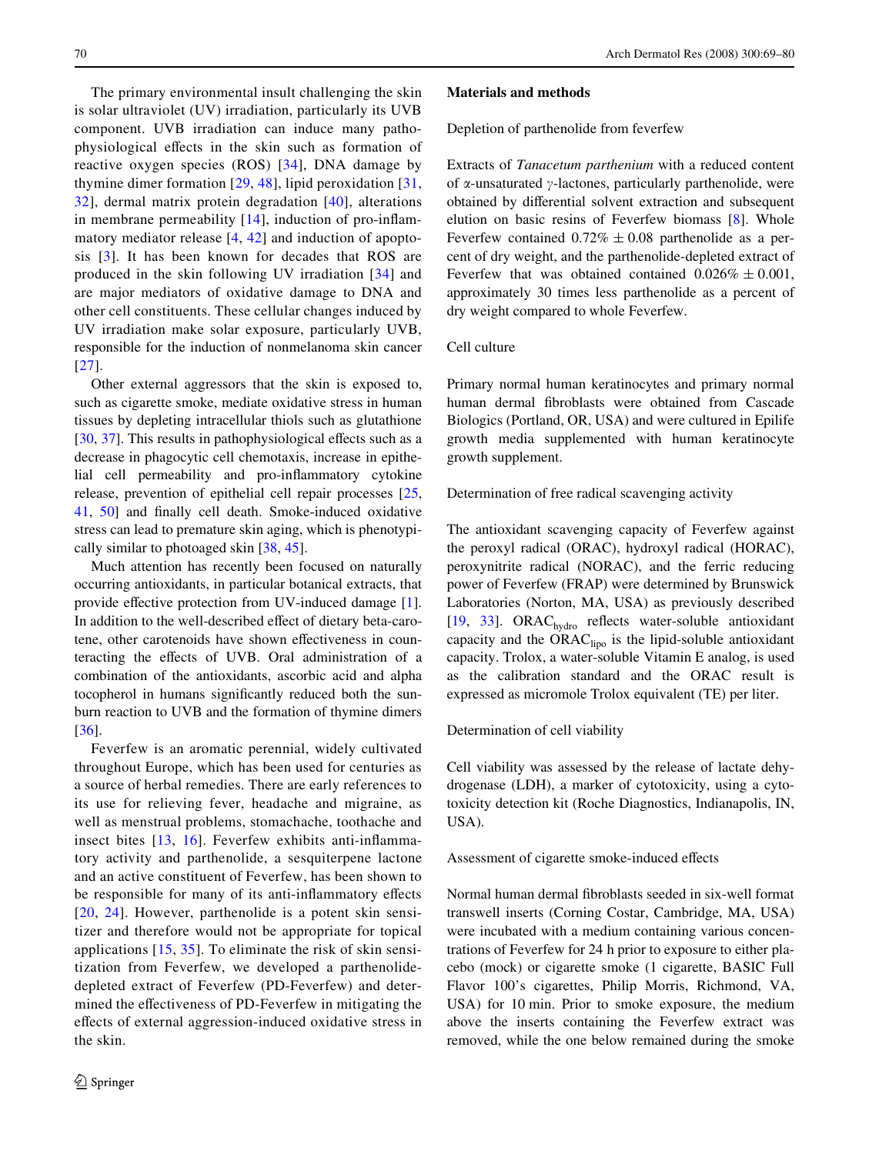The primary environmental insult challenging the skin is solar ultraviolet (UV) irradiation, particularly its UVB component. UVB irradiation can induce many pathophysiological effects in the skin such as formation of reactive oxygen species (ROS) [34], DNA damage by thymine dimer formation [29, 48], lipid peroxidation [31, 32], dermal matrix protein degradation [40], alterations in membrane permeability  $[14]$ , induction of pro-inflammatory mediator release [4, 42] and induction of apoptosis [3]. It has been known for decades that ROS are produced in the skin following UV irradiation [34] and are major mediators of oxidative damage to DNA and other cell constituents. These cellular changes induced by UV irradiation make solar exposure, particularly UVB, responsible for the induction of nonmelanoma skin cancer [27].

Other external aggressors that the skin is exposed to, such as cigarette smoke, mediate oxidative stress in human tissues by depleting intracellular thiols such as glutathione  $[30, 37]$ . This results in pathophysiological effects such as a decrease in phagocytic cell chemotaxis, increase in epithelial cell permeability and pro-inflammatory cytokine release, prevention of epithelial cell repair processes [25, 41, 50] and finally cell death. Smoke-induced oxidative stress can lead to premature skin aging, which is phenotypically similar to photoaged skin [38, 45].

Much attention has recently been focused on naturally occurring antioxidants, in particular botanical extracts, that provide effective protection from UV-induced damage [1]. In addition to the well-described effect of dietary beta-carotene, other carotenoids have shown effectiveness in counteracting the effects of UVB. Oral administration of a combination of the antioxidants, ascorbic acid and alpha tocopherol in humans significantly reduced both the sunburn reaction to UVB and the formation of thymine dimers [36].

Feverfew is an aromatic perennial, widely cultivated throughout Europe, which has been used for centuries as a source of herbal remedies. There are early references to its use for relieving fever, headache and migraine, as well as menstrual problems, stomachache, toothache and insect bites  $[13, 16]$ . Feverfew exhibits anti-inflammatory activity and parthenolide, a sesquiterpene lactone and an active constituent of Feverfew, has been shown to be responsible for many of its anti-inflammatory effects [20, 24]. However, parthenolide is a potent skin sensitizer and therefore would not be appropriate for topical applications [15, 35]. To eliminate the risk of skin sensitization from Feverfew, we developed a parthenolidedepleted extract of Feverfew (PD-Feverfew) and determined the effectiveness of PD-Feverfew in mitigating the effects of external aggression-induced oxidative stress in the skin.

#### **Materials and methods**

Depletion of parthenolide from feverfew

Extracts of *Tanacetum parthenium* with a reduced content of  $\alpha$ -unsaturated  $\gamma$ -lactones, particularly parthenolide, were obtained by differential solvent extraction and subsequent elution on basic resins of Feverfew biomass [8]. Whole Feverfew contained  $0.72\% \pm 0.08$  parthenolide as a percent of dry weight, and the parthenolide-depleted extract of Feverfew that was obtained contained  $0.026\% \pm 0.001$ , approximately 30 times less parthenolide as a percent of dry weight compared to whole Feverfew.

# Cell culture

Primary normal human keratinocytes and primary normal human dermal fibroblasts were obtained from Cascade Biologics (Portland, OR, USA) and were cultured in Epilife growth media supplemented with human keratinocyte growth supplement.

## Determination of free radical scavenging activity

The antioxidant scavenging capacity of Feverfew against the peroxyl radical (ORAC), hydroxyl radical (HORAC), peroxynitrite radical (NORAC), and the ferric reducing power of Feverfew (FRAP) were determined by Brunswick Laboratories (Norton, MA, USA) as previously described [19, 33]. ORA $C<sub>hydro</sub>$  reflects water-soluble antioxidant capacity and the  $ORAC<sub>lipo</sub>$  is the lipid-soluble antioxidant capacity. Trolox, a water-soluble Vitamin E analog, is used as the calibration standard and the ORAC result is expressed as micromole Trolox equivalent (TE) per liter.

## Determination of cell viability

Cell viability was assessed by the release of lactate dehydrogenase (LDH), a marker of cytotoxicity, using a cytotoxicity detection kit (Roche Diagnostics, Indianapolis, IN, USA).

## Assessment of cigarette smoke-induced effects

Normal human dermal fibroblasts seeded in six-well format transwell inserts (Corning Costar, Cambridge, MA, USA) were incubated with a medium containing various concentrations of Feverfew for 24 h prior to exposure to either placebo (mock) or cigarette smoke (1 cigarette, BASIC Full Flavor 100's cigarettes, Philip Morris, Richmond, VA, USA) for 10 min. Prior to smoke exposure, the medium above the inserts containing the Feverfew extract was removed, while the one below remained during the smoke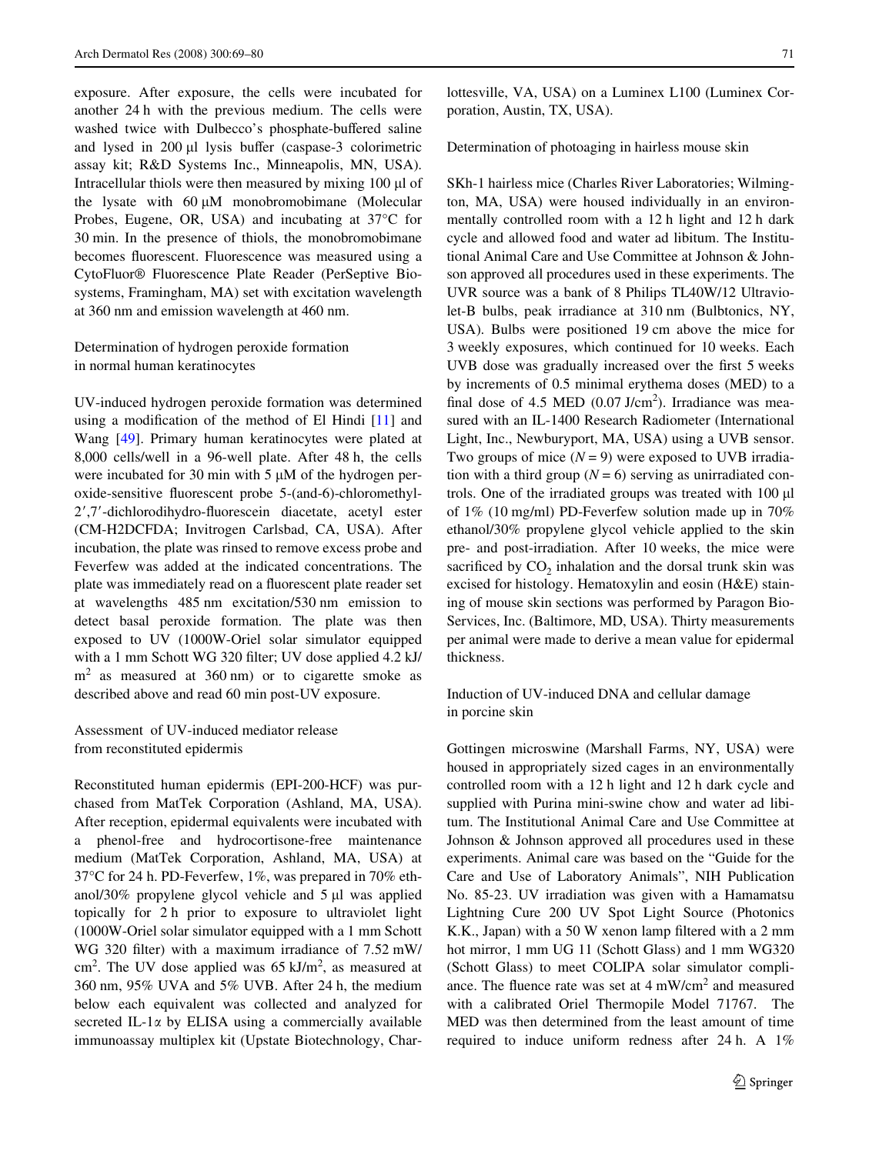exposure. After exposure, the cells were incubated for another 24 h with the previous medium. The cells were washed twice with Dulbecco's phosphate-buffered saline and lysed in  $200 \mu l$  lysis buffer (caspase-3 colorimetric assay kit; R&D Systems Inc., Minneapolis, MN, USA). Intracellular thiols were then measured by mixing 100 µl of the lysate with  $60 \mu M$  monobromobimane (Molecular Probes, Eugene, OR, USA) and incubating at 37°C for 30 min. In the presence of thiols, the monobromobimane becomes fluorescent. Fluorescence was measured using a CytoFluor® Fluorescence Plate Reader (PerSeptive Biosystems, Framingham, MA) set with excitation wavelength at 360 nm and emission wavelength at 460 nm.

Determination of hydrogen peroxide formation in normal human keratinocytes

UV-induced hydrogen peroxide formation was determined using a modification of the method of El Hindi  $[11]$  and Wang [49]. Primary human keratinocytes were plated at 8,000 cells/well in a 96-well plate. After 48 h, the cells were incubated for 30 min with 5  $\mu$ M of the hydrogen peroxide-sensitive fluorescent probe 5-(and-6)-chloromethyl-2',7'-dichlorodihydro-fluorescein diacetate, acetyl ester (CM-H2DCFDA; Invitrogen Carlsbad, CA, USA). After incubation, the plate was rinsed to remove excess probe and Feverfew was added at the indicated concentrations. The plate was immediately read on a fluorescent plate reader set at wavelengths 485 nm excitation/530 nm emission to detect basal peroxide formation. The plate was then exposed to UV (1000W-Oriel solar simulator equipped with a 1 mm Schott WG 320 filter; UV dose applied  $4.2$  kJ/  $m<sup>2</sup>$  as measured at 360 nm) or to cigarette smoke as described above and read 60 min post-UV exposure.

Assessment of UV-induced mediator release from reconstituted epidermis

Reconstituted human epidermis (EPI-200-HCF) was purchased from MatTek Corporation (Ashland, MA, USA). After reception, epidermal equivalents were incubated with a phenol-free and hydrocortisone-free maintenance medium (MatTek Corporation, Ashland, MA, USA) at 37°C for 24 h. PD-Feverfew, 1%, was prepared in 70% ethanol/30% propylene glycol vehicle and  $5 \mu$  was applied topically for 2 h prior to exposure to ultraviolet light (1000W-Oriel solar simulator equipped with a 1 mm Schott WG 320 filter) with a maximum irradiance of  $7.52 \text{ mW}$ cm<sup>2</sup>. The UV dose applied was 65 kJ/m<sup>2</sup>, as measured at 360 nm, 95% UVA and 5% UVB. After 24 h, the medium below each equivalent was collected and analyzed for secreted IL-1 $\alpha$  by ELISA using a commercially available immunoassay multiplex kit (Upstate Biotechnology, Charlottesville, VA, USA) on a Luminex L100 (Luminex Corporation, Austin, TX, USA).

Determination of photoaging in hairless mouse skin

SKh-1 hairless mice (Charles River Laboratories; Wilmington, MA, USA) were housed individually in an environmentally controlled room with a 12 h light and 12 h dark cycle and allowed food and water ad libitum. The Institutional Animal Care and Use Committee at Johnson & Johnson approved all procedures used in these experiments. The UVR source was a bank of 8 Philips TL40W/12 Ultraviolet-B bulbs, peak irradiance at 310 nm (Bulbtonics, NY, USA). Bulbs were positioned 19 cm above the mice for 3 weekly exposures, which continued for 10 weeks. Each UVB dose was gradually increased over the first 5 weeks by increments of 0.5 minimal erythema doses (MED) to a final dose of 4.5 MED  $(0.07 \text{ J/cm}^2)$ . Irradiance was measured with an IL-1400 Research Radiometer (International Light, Inc., Newburyport, MA, USA) using a UVB sensor. Two groups of mice  $(N = 9)$  were exposed to UVB irradiation with a third group  $(N = 6)$  serving as unirradiated controls. One of the irradiated groups was treated with 100 µl of 1% (10 mg/ml) PD-Feverfew solution made up in 70% ethanol/30% propylene glycol vehicle applied to the skin pre- and post-irradiation. After 10 weeks, the mice were sacrificed by  $CO_2$  inhalation and the dorsal trunk skin was excised for histology. Hematoxylin and eosin (H&E) staining of mouse skin sections was performed by Paragon Bio-Services, Inc. (Baltimore, MD, USA). Thirty measurements per animal were made to derive a mean value for epidermal thickness.

Induction of UV-induced DNA and cellular damage in porcine skin

Gottingen microswine (Marshall Farms, NY, USA) were housed in appropriately sized cages in an environmentally controlled room with a 12 h light and 12 h dark cycle and supplied with Purina mini-swine chow and water ad libitum. The Institutional Animal Care and Use Committee at Johnson & Johnson approved all procedures used in these experiments. Animal care was based on the "Guide for the Care and Use of Laboratory Animals", NIH Publication No. 85-23. UV irradiation was given with a Hamamatsu Lightning Cure 200 UV Spot Light Source (Photonics K.K., Japan) with a 50 W xenon lamp filtered with a 2 mm hot mirror, 1 mm UG 11 (Schott Glass) and 1 mm WG320 (Schott Glass) to meet COLIPA solar simulator compliance. The fluence rate was set at  $4 \text{ mW/cm}^2$  and measured with a calibrated Oriel Thermopile Model 71767. The MED was then determined from the least amount of time required to induce uniform redness after 24 h. A 1%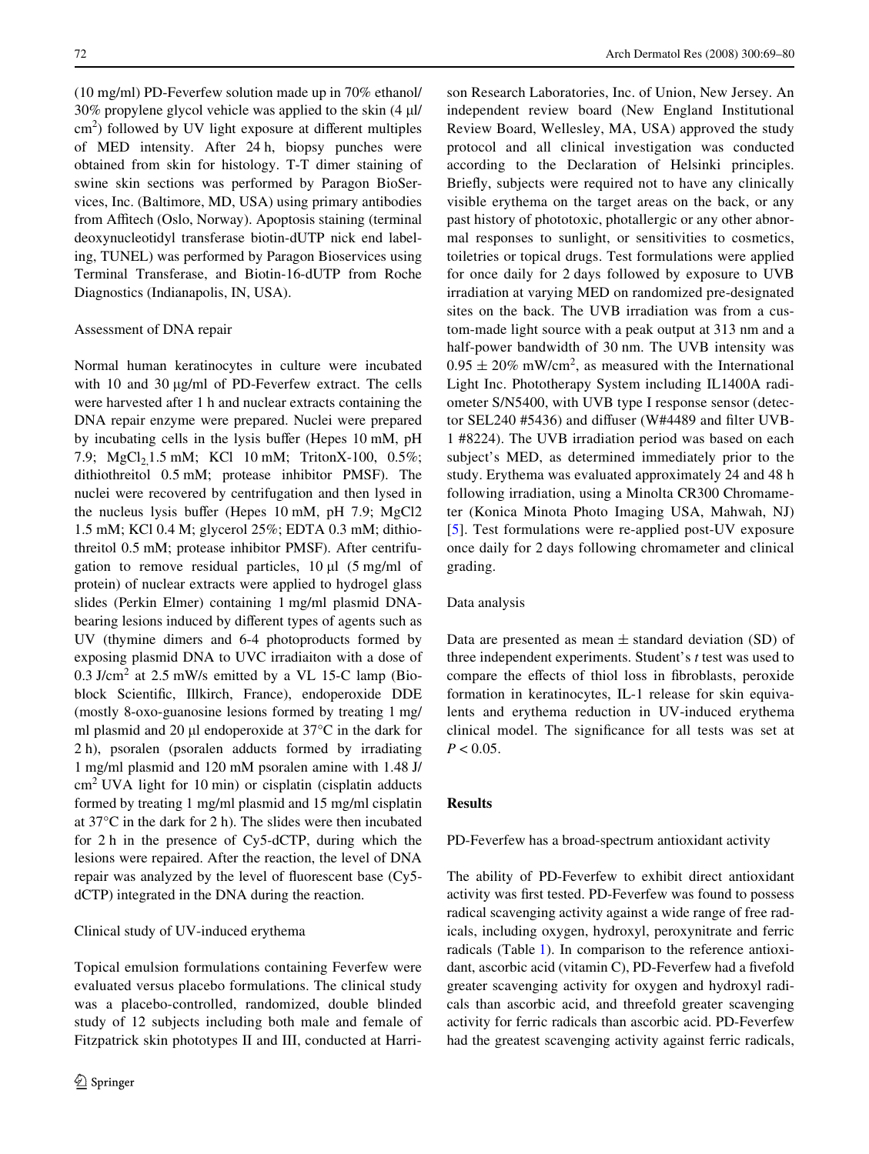(10 mg/ml) PD-Feverfew solution made up in 70% ethanol/ 30% propylene glycol vehicle was applied to the skin  $(4 \mu$ l/  $\text{cm}^2$ ) followed by UV light exposure at different multiples of MED intensity. After 24 h, biopsy punches were obtained from skin for histology. T-T dimer staining of swine skin sections was performed by Paragon BioServices, Inc. (Baltimore, MD, USA) using primary antibodies from Affitech (Oslo, Norway). Apoptosis staining (terminal deoxynucleotidyl transferase biotin-dUTP nick end labeling, TUNEL) was performed by Paragon Bioservices using Terminal Transferase, and Biotin-16-dUTP from Roche Diagnostics (Indianapolis, IN, USA).

#### Assessment of DNA repair

Normal human keratinocytes in culture were incubated with 10 and 30  $\mu$ g/ml of PD-Feverfew extract. The cells were harvested after 1 h and nuclear extracts containing the DNA repair enzyme were prepared. Nuclei were prepared by incubating cells in the lysis buffer (Hepes 10 mM, pH 7.9; MgCl<sub>2</sub> 1.5 mM; KCl 10 mM; TritonX-100, 0.5%; dithiothreitol 0.5 mM; protease inhibitor PMSF). The nuclei were recovered by centrifugation and then lysed in the nucleus lysis buffer (Hepes  $10 \text{ mM}$ , pH  $7.9$ ; MgCl2 1.5 mM; KCl 0.4 M; glycerol 25%; EDTA 0.3 mM; dithiothreitol 0.5 mM; protease inhibitor PMSF). After centrifugation to remove residual particles,  $10 \mu l$  (5 mg/ml of protein) of nuclear extracts were applied to hydrogel glass slides (Perkin Elmer) containing 1 mg/ml plasmid DNAbearing lesions induced by different types of agents such as UV (thymine dimers and 6-4 photoproducts formed by exposing plasmid DNA to UVC irradiaiton with a dose of 0.3 J/cm<sup>2</sup> at 2.5 mW/s emitted by a VL 15-C lamp (Bioblock Scientific, Illkirch, France), endoperoxide DDE (mostly 8-oxo-guanosine lesions formed by treating 1 mg/ ml plasmid and 20  $\mu$ l endoperoxide at 37 $\degree$ C in the dark for 2 h), psoralen (psoralen adducts formed by irradiating 1 mg/ml plasmid and 120 mM psoralen amine with 1.48 J/  $\text{cm}^2$  UVA light for 10 min) or cisplatin (cisplatin adducts formed by treating 1 mg/ml plasmid and 15 mg/ml cisplatin at 37°C in the dark for 2 h). The slides were then incubated for 2 h in the presence of Cy5-dCTP, during which the lesions were repaired. After the reaction, the level of DNA repair was analyzed by the level of fluorescent base (Cy5dCTP) integrated in the DNA during the reaction.

# Clinical study of UV-induced erythema

Topical emulsion formulations containing Feverfew were evaluated versus placebo formulations. The clinical study was a placebo-controlled, randomized, double blinded study of 12 subjects including both male and female of Fitzpatrick skin phototypes II and III, conducted at Harrison Research Laboratories, Inc. of Union, New Jersey. An independent review board (New England Institutional Review Board, Wellesley, MA, USA) approved the study protocol and all clinical investigation was conducted according to the Declaration of Helsinki principles. Briefly, subjects were required not to have any clinically visible erythema on the target areas on the back, or any past history of phototoxic, photallergic or any other abnormal responses to sunlight, or sensitivities to cosmetics, toiletries or topical drugs. Test formulations were applied for once daily for 2 days followed by exposure to UVB irradiation at varying MED on randomized pre-designated sites on the back. The UVB irradiation was from a custom-made light source with a peak output at 313 nm and a half-power bandwidth of 30 nm. The UVB intensity was  $0.95 \pm 20\%$  mW/cm<sup>2</sup>, as measured with the International Light Inc. Phototherapy System including IL1400A radiometer S/N5400, with UVB type I response sensor (detector SEL240 #5436) and diffuser (W#4489 and filter UVB-1 #8224). The UVB irradiation period was based on each subject's MED, as determined immediately prior to the study. Erythema was evaluated approximately 24 and 48 h following irradiation, using a Minolta CR300 Chromameter (Konica Minota Photo Imaging USA, Mahwah, NJ) [5]. Test formulations were re-applied post-UV exposure once daily for 2 days following chromameter and clinical grading.

#### Data analysis

Data are presented as mean  $\pm$  standard deviation (SD) of three independent experiments. Student's *t* test was used to compare the effects of thiol loss in fibroblasts, peroxide formation in keratinocytes, IL-1 release for skin equivalents and erythema reduction in UV-induced erythema clinical model. The significance for all tests was set at  $P < 0.05$ .

# **Results**

PD-Feverfew has a broad-spectrum antioxidant activity

The ability of PD-Feverfew to exhibit direct antioxidant activity was first tested. PD-Feverfew was found to possess radical scavenging activity against a wide range of free radicals, including oxygen, hydroxyl, peroxynitrate and ferric radicals (Table 1). In comparison to the reference antioxidant, ascorbic acid (vitamin C), PD-Feverfew had a fivefold greater scavenging activity for oxygen and hydroxyl radicals than ascorbic acid, and threefold greater scavenging activity for ferric radicals than ascorbic acid. PD-Feverfew had the greatest scavenging activity against ferric radicals,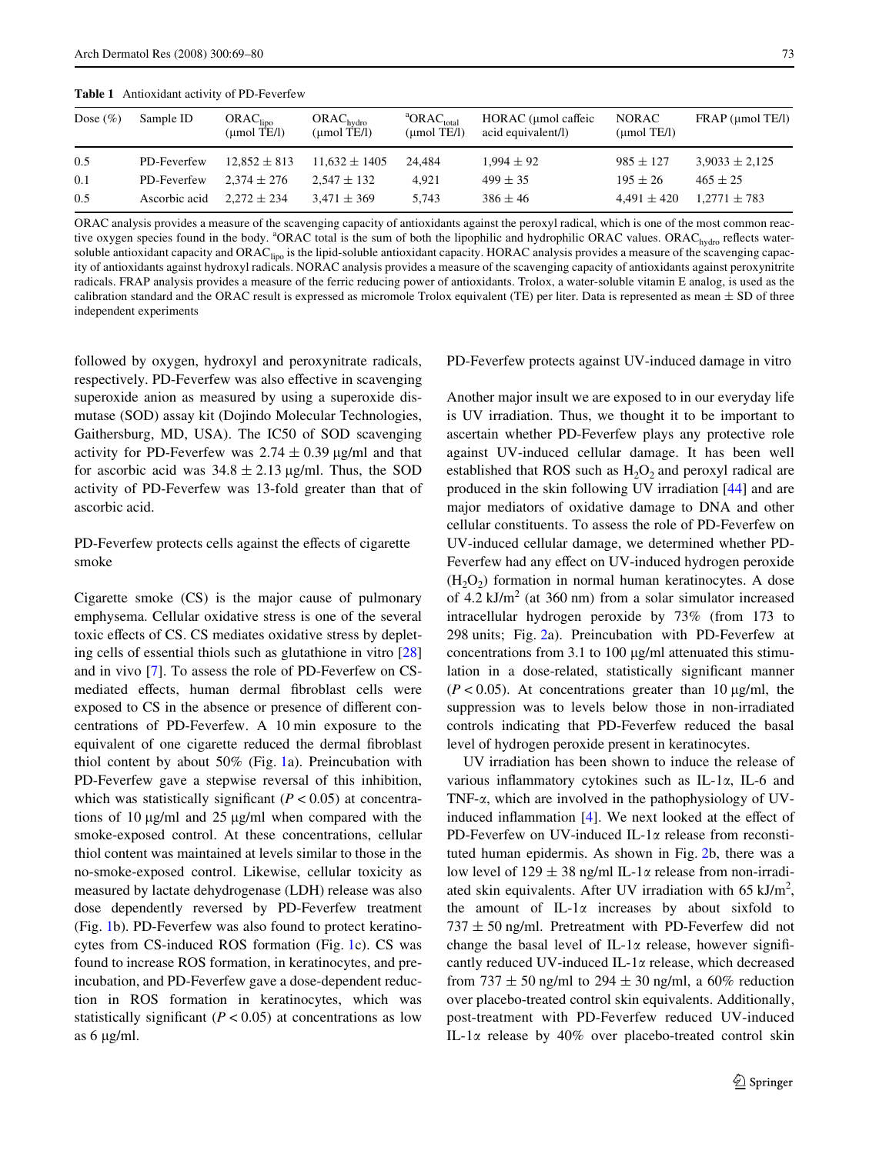**Table 1** Antioxidant activity of PD-Feverfew

| Dose $(\%)$ | Sample ID     | ORAC <sub>lipo</sub><br>$(\mu \text{mol} \text{TE/l})$ | ORAC <sub>hydro</sub><br>$(\mu$ mol TE/I) | $^{a}ORAC_{total}$<br>$(\mu$ mol TE/I) | HORAC ( $\mu$ mol caffeic<br>acid equivalent/l) | <b>NORAC</b><br>$(\mu$ mol TE/I) | FRAP (µmol TE/l)   |
|-------------|---------------|--------------------------------------------------------|-------------------------------------------|----------------------------------------|-------------------------------------------------|----------------------------------|--------------------|
| 0.5         | PD-Feverfew   | $12.852 \pm 813$                                       | $11.632 \pm 1405$                         | 24.484                                 | $1,994 \pm 92$                                  | $985 \pm 127$                    | $3,9033 \pm 2,125$ |
| 0.1         | PD-Feverfew   | $2.374 \pm 276$                                        | $2.547 \pm 132$                           | 4.921                                  | $499 \pm 35$                                    | $195 \pm 26$                     | $465 \pm 25$       |
| 0.5         | Ascorbic acid | $2.272 \pm 234$                                        | $3.471 \pm 369$                           | 5.743                                  | $386 \pm 46$                                    | $4.491 \pm 420$                  | $1.2771 \pm 783$   |

ORAC analysis provides a measure of the scavenging capacity of antioxidants against the peroxyl radical, which is one of the most common reactive oxygen species found in the body. <sup>a</sup>ORAC total is the sum of both the lipophilic and hydrophilic ORAC values. ORAC<sub>hydro</sub> reflects watersoluble antioxidant capacity and ORAC<sub>lipo</sub> is the lipid-soluble antioxidant capacity. HORAC analysis provides a measure of the scavenging capacity of antioxidants against hydroxyl radicals. NORAC analysis provides a measure of the scavenging capacity of antioxidants against peroxynitrite radicals. FRAP analysis provides a measure of the ferric reducing power of antioxidants. Trolox, a water-soluble vitamin E analog, is used as the calibration standard and the ORAC result is expressed as micromole Trolox equivalent (TE) per liter. Data is represented as mean  $\pm$  SD of three independent experiments

followed by oxygen, hydroxyl and peroxynitrate radicals, respectively. PD-Feverfew was also effective in scavenging superoxide anion as measured by using a superoxide dismutase (SOD) assay kit (Dojindo Molecular Technologies, Gaithersburg, MD, USA). The IC50 of SOD scavenging activity for PD-Feverfew was  $2.74 \pm 0.39$   $\mu$ g/ml and that for ascorbic acid was  $34.8 \pm 2.13$  µg/ml. Thus, the SOD activity of PD-Feverfew was 13-fold greater than that of ascorbic acid.

# PD-Feverfew protects cells against the effects of cigarette smoke

Cigarette smoke (CS) is the major cause of pulmonary emphysema. Cellular oxidative stress is one of the several toxic effects of CS. CS mediates oxidative stress by depleting cells of essential thiols such as glutathione in vitro [28] and in vivo [7]. To assess the role of PD-Feverfew on CSmediated effects, human dermal fibroblast cells were exposed to CS in the absence or presence of different concentrations of PD-Feverfew. A 10 min exposure to the equivalent of one cigarette reduced the dermal fibroblast thiol content by about 50% (Fig. 1a). Preincubation with PD-Feverfew gave a stepwise reversal of this inhibition, which was statistically significant  $(P < 0.05)$  at concentrations of 10  $\mu$ g/ml and 25  $\mu$ g/ml when compared with the smoke-exposed control. At these concentrations, cellular thiol content was maintained at levels similar to those in the no-smoke-exposed control. Likewise, cellular toxicity as measured by lactate dehydrogenase (LDH) release was also dose dependently reversed by PD-Feverfew treatment (Fig. 1b). PD-Feverfew was also found to protect keratinocytes from CS-induced ROS formation (Fig. 1c). CS was found to increase ROS formation, in keratinocytes, and preincubation, and PD-Feverfew gave a dose-dependent reduction in ROS formation in keratinocytes, which was statistically significant  $(P < 0.05)$  at concentrations as low as  $6 \mu g/ml$ .

PD-Feverfew protects against UV-induced damage in vitro

Another major insult we are exposed to in our everyday life is UV irradiation. Thus, we thought it to be important to ascertain whether PD-Feverfew plays any protective role against UV-induced cellular damage. It has been well established that ROS such as  $H_2O_2$  and peroxyl radical are produced in the skin following UV irradiation [44] and are major mediators of oxidative damage to DNA and other cellular constituents. To assess the role of PD-Feverfew on UV-induced cellular damage, we determined whether PD-Feverfew had any effect on UV-induced hydrogen peroxide  $(H_2O_2)$  formation in normal human keratinocytes. A dose of  $4.2 \text{ kJ/m}^2$  (at 360 nm) from a solar simulator increased intracellular hydrogen peroxide by 73% (from 173 to 298 units; Fig. 2a). Preincubation with PD-Feverfew at concentrations from 3.1 to 100  $\mu$ g/ml attenuated this stimulation in a dose-related, statistically significant manner  $(P < 0.05)$ . At concentrations greater than 10  $\mu$ g/ml, the suppression was to levels below those in non-irradiated controls indicating that PD-Feverfew reduced the basal level of hydrogen peroxide present in keratinocytes.

UV irradiation has been shown to induce the release of various inflammatory cytokines such as IL-1 $\alpha$ , IL-6 and TNF- $\alpha$ , which are involved in the pathophysiology of UVinduced inflammation  $[4]$ . We next looked at the effect of PD-Feverfew on UV-induced IL-1 $\alpha$  release from reconstituted human epidermis. As shown in Fig. 2b, there was a low level of  $129 \pm 38$  ng/ml IL-1 $\alpha$  release from non-irradiated skin equivalents. After UV irradiation with 65 kJ/m<sup>2</sup>, the amount of IL-1 $\alpha$  increases by about sixfold to  $737 \pm 50$  ng/ml. Pretreatment with PD-Feverfew did not change the basal level of IL-1 $\alpha$  release, however significantly reduced UV-induced IL-1 $\alpha$  release, which decreased from 737  $\pm$  50 ng/ml to 294  $\pm$  30 ng/ml, a 60% reduction over placebo-treated control skin equivalents. Additionally, post-treatment with PD-Feverfew reduced UV-induced IL-1 $\alpha$  release by 40% over placebo-treated control skin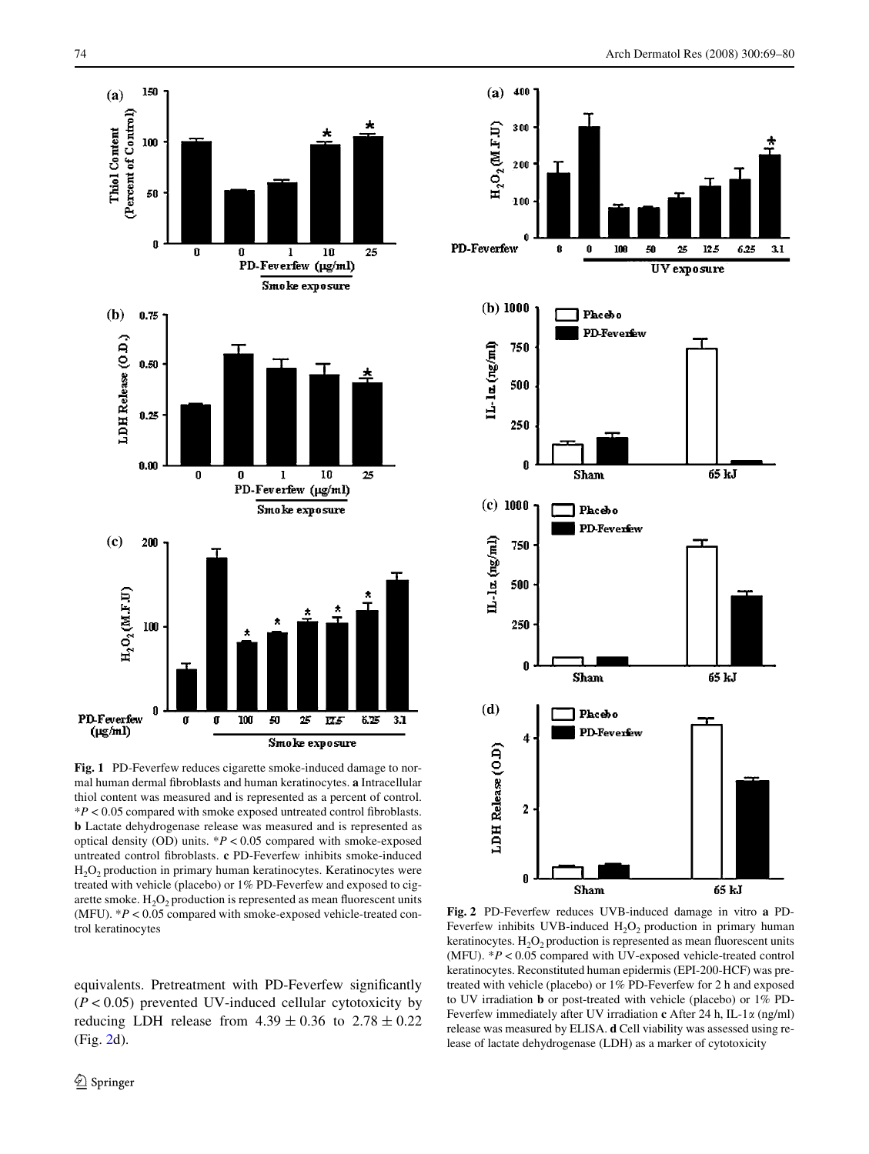

**Fig. 1** PD-Feverfew reduces cigarette smoke-induced damage to normal human dermal fibroblasts and human keratinocytes. **a** Intracellular thiol content was measured and is represented as a percent of control.  $*P < 0.05$  compared with smoke exposed untreated control fibroblasts. **b** Lactate dehydrogenase release was measured and is represented as optical density (OD) units. \**P* < 0.05 compared with smoke-exposed untreated control fibroblasts. **c** PD-Feverfew inhibits smoke-induced H<sub>2</sub>O<sub>2</sub> production in primary human keratinocytes. Keratinocytes were treated with vehicle (placebo) or 1% PD-Feverfew and exposed to cigarette smoke.  $H_2O_2$  production is represented as mean fluorescent units (MFU).  $*P < 0.05$  compared with smoke-exposed vehicle-treated control keratinocytes

equivalents. Pretreatment with PD-Feverfew significantly  $(P < 0.05)$  prevented UV-induced cellular cytotoxicity by reducing LDH release from  $4.39 \pm 0.36$  to  $2.78 \pm 0.22$ (Fig. 2d).



**Fig. 2** PD-Feverfew reduces UVB-induced damage in vitro **a** PD-Feverfew inhibits UVB-induced  $H_2O_2$  production in primary human keratinocytes.  $H_2O_2$  production is represented as mean fluorescent units (MFU). \**P* < 0.05 compared with UV-exposed vehicle-treated control keratinocytes. Reconstituted human epidermis (EPI-200-HCF) was pretreated with vehicle (placebo) or 1% PD-Feverfew for 2 h and exposed to UV irradiation **b** or post-treated with vehicle (placebo) or 1% PD-Feverfew immediately after UV irradiation  $c$  After 24 h, IL-1 $\alpha$  (ng/ml) release was measured by ELISA. **d** Cell viability was assessed using release of lactate dehydrogenase (LDH) as a marker of cytotoxicity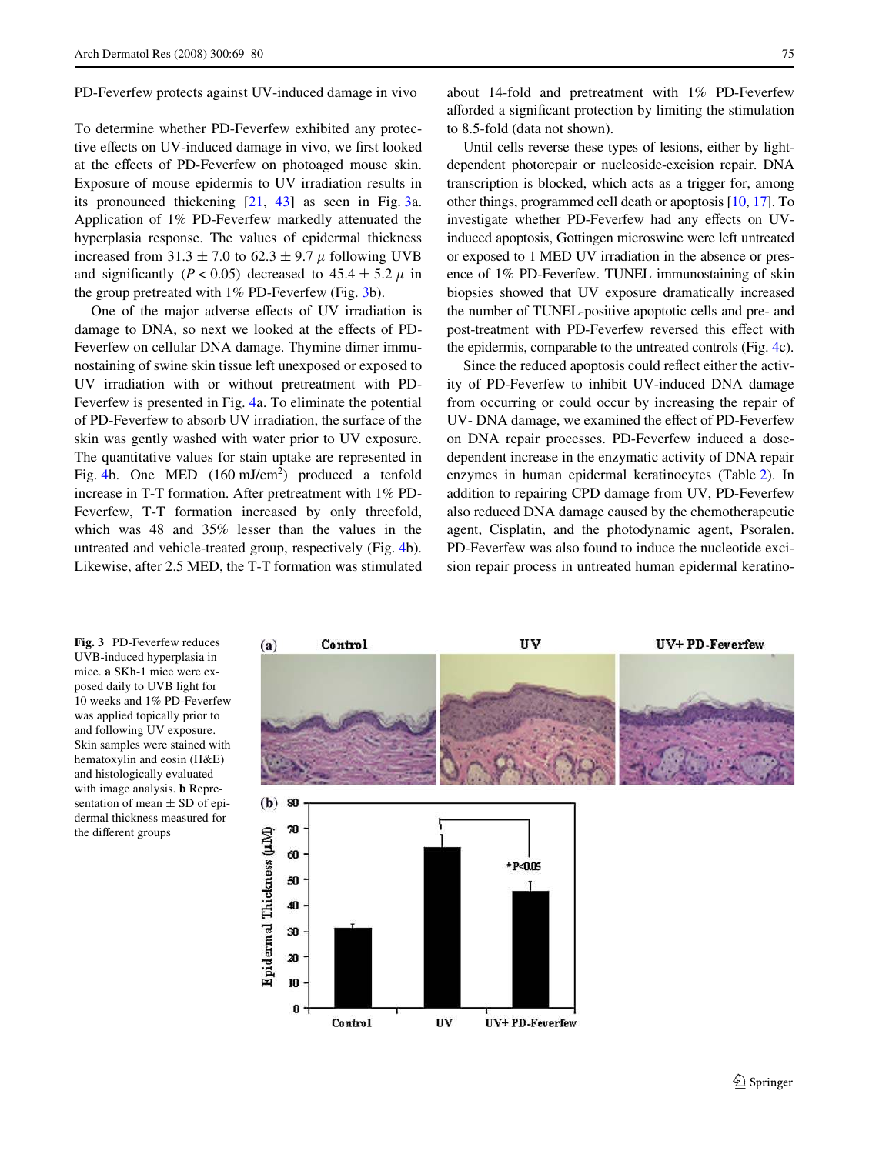PD-Feverfew protects against UV-induced damage in vivo

To determine whether PD-Feverfew exhibited any protective effects on UV-induced damage in vivo, we first looked at the effects of PD-Feverfew on photoaged mouse skin. Exposure of mouse epidermis to UV irradiation results in its pronounced thickening [21, 43] as seen in Fig. 3a. Application of 1% PD-Feverfew markedly attenuated the hyperplasia response. The values of epidermal thickness increased from  $31.3 \pm 7.0$  to  $62.3 \pm 9.7$   $\mu$  following UVB and significantly ( $P < 0.05$ ) decreased to  $45.4 \pm 5.2 \mu$  in the group pretreated with 1% PD-Feverfew (Fig. 3b).

One of the major adverse effects of UV irradiation is damage to DNA, so next we looked at the effects of PD-Feverfew on cellular DNA damage. Thymine dimer immunostaining of swine skin tissue left unexposed or exposed to UV irradiation with or without pretreatment with PD-Feverfew is presented in Fig. 4a. To eliminate the potential of PD-Feverfew to absorb UV irradiation, the surface of the skin was gently washed with water prior to UV exposure. The quantitative values for stain uptake are represented in Fig. 4b. One MED  $(160 \text{ mJ/cm}^2)$  produced a tenfold increase in T-T formation. After pretreatment with 1% PD-Feverfew, T-T formation increased by only threefold, which was 48 and 35% lesser than the values in the untreated and vehicle-treated group, respectively (Fig. 4b). Likewise, after 2.5 MED, the T-T formation was stimulated about 14-fold and pretreatment with 1% PD-Feverfew afforded a significant protection by limiting the stimulation to 8.5-fold (data not shown).

Until cells reverse these types of lesions, either by lightdependent photorepair or nucleoside-excision repair. DNA transcription is blocked, which acts as a trigger for, among other things, programmed cell death or apoptosis [10, 17]. To investigate whether PD-Feverfew had any effects on UVinduced apoptosis, Gottingen microswine were left untreated or exposed to 1 MED UV irradiation in the absence or presence of 1% PD-Feverfew. TUNEL immunostaining of skin biopsies showed that UV exposure dramatically increased the number of TUNEL-positive apoptotic cells and pre- and post-treatment with PD-Feverfew reversed this effect with the epidermis, comparable to the untreated controls (Fig. 4c).

Since the reduced apoptosis could reflect either the activity of PD-Feverfew to inhibit UV-induced DNA damage from occurring or could occur by increasing the repair of UV- DNA damage, we examined the effect of PD-Feverfew on DNA repair processes. PD-Feverfew induced a dosedependent increase in the enzymatic activity of DNA repair enzymes in human epidermal keratinocytes (Table 2). In addition to repairing CPD damage from UV, PD-Feverfew also reduced DNA damage caused by the chemotherapeutic agent, Cisplatin, and the photodynamic agent, Psoralen. PD-Feverfew was also found to induce the nucleotide excision repair process in untreated human epidermal keratino-

**Fig. 3** PD-Feverfew reduces UVB-induced hyperplasia in mice. **a** SKh-1 mice were exposed daily to UVB light for 10 weeks and 1% PD-Feverfew was applied topically prior to and following UV exposure. Skin samples were stained with hematoxylin and eosin (H&E) and histologically evaluated with image analysis. **b** Representation of mean  $\pm$  SD of epidermal thickness measured for the different groups

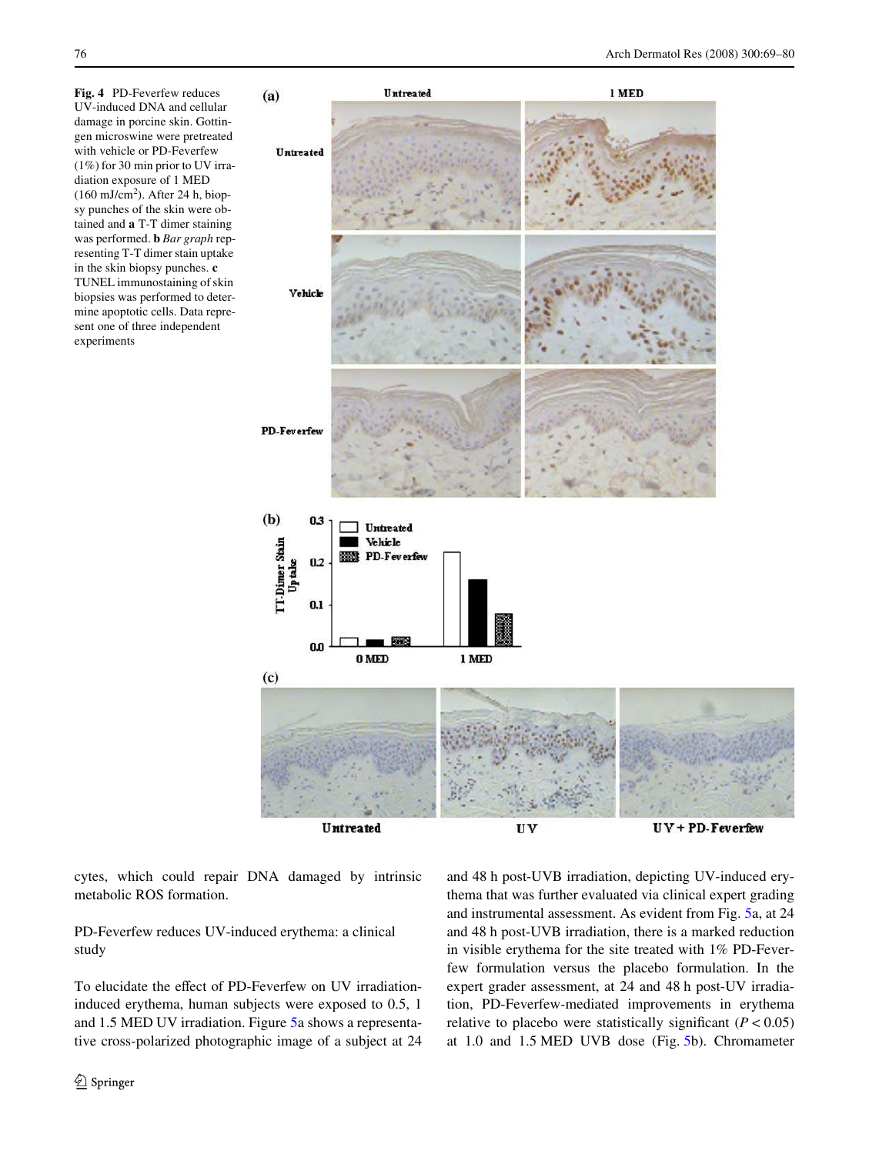**Fig. 4** PD-Feverfew reduces UV-induced DNA and cellular damage in porcine skin. Gottingen microswine were pretreated with vehicle or PD-Feverfew (1%) for 30 min prior to UV irradiation exposure of 1 MED  $(160 \text{ mJ/cm}^2)$ . After 24 h, biopsy punches of the skin were obtained and **a** T-T dimer staining was performed. **b** *Bar graph* representing T-T dimer stain uptake in the skin biopsy punches. **c** TUNEL immunostaining of skin biopsies was performed to determine apoptotic cells. Data represent one of three independent experiments



**Untreated** 

 $UV + PD$ -Feverfew

cytes, which could repair DNA damaged by intrinsic metabolic ROS formation.

PD-Feverfew reduces UV-induced erythema: a clinical study

To elucidate the effect of PD-Feverfew on UV irradiationinduced erythema, human subjects were exposed to 0.5, 1 and 1.5 MED UV irradiation. Figure 5a shows a representative cross-polarized photographic image of a subject at 24 and 48 h post-UVB irradiation, depicting UV-induced erythema that was further evaluated via clinical expert grading and instrumental assessment. As evident from Fig. 5a, at 24 and 48 h post-UVB irradiation, there is a marked reduction in visible erythema for the site treated with 1% PD-Feverfew formulation versus the placebo formulation. In the expert grader assessment, at 24 and 48 h post-UV irradiation, PD-Feverfew-mediated improvements in erythema relative to placebo were statistically significant  $(P < 0.05)$ at 1.0 and 1.5 MED UVB dose (Fig. 5b). Chromameter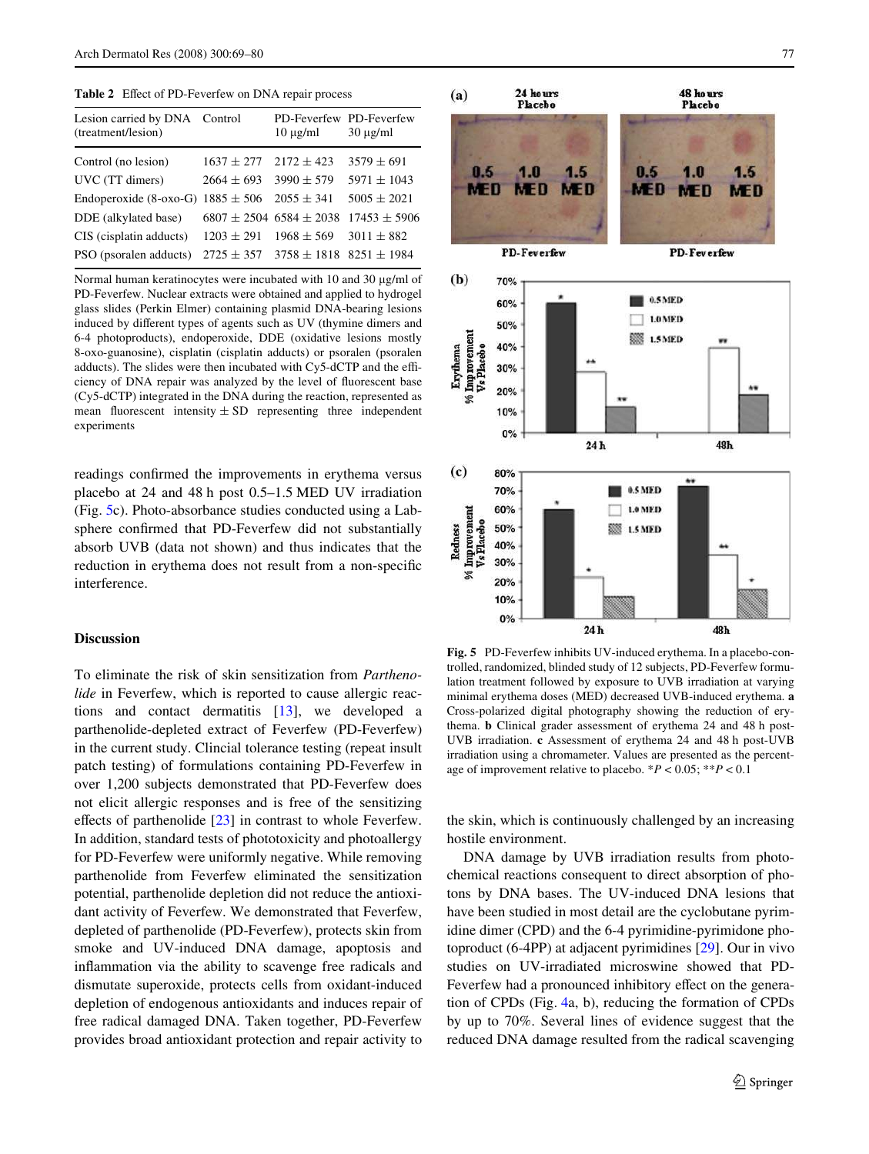Table 2 Effect of PD-Feverfew on DNA repair process

| Lesion carried by DNA Control<br>(treatment/lesion) |                | $10 \mu g/ml$                   | PD-Feverfew PD-Feverfew<br>$30 \mu g/ml$ |
|-----------------------------------------------------|----------------|---------------------------------|------------------------------------------|
| Control (no lesion)                                 | $1637 \pm 277$ | $2172 \pm 423$                  | $3579 \pm 691$                           |
| UVC (TT dimers)                                     | $2664 \pm 693$ | $3990 \pm 579$                  | $5971 \pm 1043$                          |
| Endoperoxide (8-oxo-G) $1885 \pm 506$               |                | $2055 \pm 341$                  | $5005 \pm 2021$                          |
| DDE (alkylated base)                                |                | $6807 \pm 2504$ 6584 $\pm$ 2038 | $17453 \pm 5906$                         |
| CIS (cisplatin adducts)                             | $1203 \pm 291$ | $1968 \pm 569$                  | $3011 \pm 882$                           |
| PSO (psoralen adducts)                              |                | $2725 \pm 357$ $3758 \pm 1818$  | $8251 \pm 1984$                          |

Normal human keratinocytes were incubated with  $10$  and  $30 \mu g/ml$  of PD-Feverfew. Nuclear extracts were obtained and applied to hydrogel glass slides (Perkin Elmer) containing plasmid DNA-bearing lesions induced by different types of agents such as UV (thymine dimers and 6-4 photoproducts), endoperoxide, DDE (oxidative lesions mostly 8-oxo-guanosine), cisplatin (cisplatin adducts) or psoralen (psoralen adducts). The slides were then incubated with  $Cy5-dCTP$  and the efficiency of DNA repair was analyzed by the level of fluorescent base (Cy5-dCTP) integrated in the DNA during the reaction, represented as mean fluorescent intensity  $\pm$  SD representing three independent experiments

readings confirmed the improvements in erythema versus placebo at 24 and 48 h post 0.5–1.5 MED UV irradiation (Fig. 5c). Photo-absorbance studies conducted using a Labsphere confirmed that PD-Feverfew did not substantially absorb UVB (data not shown) and thus indicates that the reduction in erythema does not result from a non-specific interference.

# **Discussion**

To eliminate the risk of skin sensitization from *Parthenolide* in Feverfew, which is reported to cause allergic reactions and contact dermatitis [13], we developed a parthenolide-depleted extract of Feverfew (PD-Feverfew) in the current study. Clincial tolerance testing (repeat insult patch testing) of formulations containing PD-Feverfew in over 1,200 subjects demonstrated that PD-Feverfew does not elicit allergic responses and is free of the sensitizing effects of parthenolide  $[23]$  in contrast to whole Feverfew. In addition, standard tests of phototoxicity and photoallergy for PD-Feverfew were uniformly negative. While removing parthenolide from Feverfew eliminated the sensitization potential, parthenolide depletion did not reduce the antioxidant activity of Feverfew. We demonstrated that Feverfew, depleted of parthenolide (PD-Feverfew), protects skin from smoke and UV-induced DNA damage, apoptosis and inflammation via the ability to scavenge free radicals and dismutate superoxide, protects cells from oxidant-induced depletion of endogenous antioxidants and induces repair of free radical damaged DNA. Taken together, PD-Feverfew provides broad antioxidant protection and repair activity to



**Fig. 5** PD-Feverfew inhibits UV-induced erythema. In a placebo-controlled, randomized, blinded study of 12 subjects, PD-Feverfew formulation treatment followed by exposure to UVB irradiation at varying minimal erythema doses (MED) decreased UVB-induced erythema. **a** Cross-polarized digital photography showing the reduction of erythema. **b** Clinical grader assessment of erythema 24 and 48 h post-UVB irradiation. **c** Assessment of erythema 24 and 48 h post-UVB irradiation using a chromameter. Values are presented as the percentage of improvement relative to placebo.  $*P < 0.05$ ;  $**P < 0.1$ 

the skin, which is continuously challenged by an increasing hostile environment.

DNA damage by UVB irradiation results from photochemical reactions consequent to direct absorption of photons by DNA bases. The UV-induced DNA lesions that have been studied in most detail are the cyclobutane pyrimidine dimer (CPD) and the 6-4 pyrimidine-pyrimidone photoproduct (6-4PP) at adjacent pyrimidines [29]. Our in vivo studies on UV-irradiated microswine showed that PD-Feverfew had a pronounced inhibitory effect on the generation of CPDs (Fig. 4a, b), reducing the formation of CPDs by up to 70%. Several lines of evidence suggest that the reduced DNA damage resulted from the radical scavenging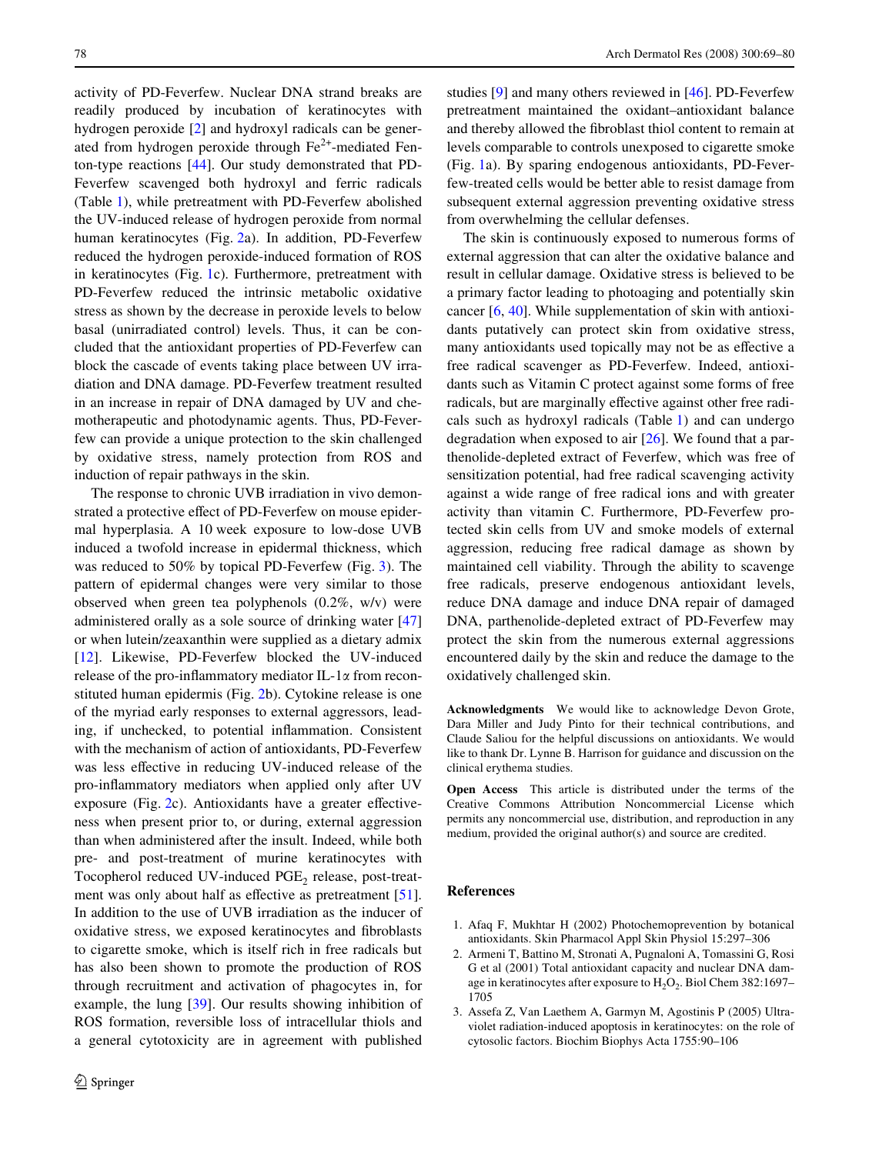activity of PD-Feverfew. Nuclear DNA strand breaks are readily produced by incubation of keratinocytes with hydrogen peroxide [2] and hydroxyl radicals can be generated from hydrogen peroxide through  $Fe<sup>2+</sup>$ -mediated Fenton-type reactions [44]. Our study demonstrated that PD-Feverfew scavenged both hydroxyl and ferric radicals (Table 1), while pretreatment with PD-Feverfew abolished the UV-induced release of hydrogen peroxide from normal human keratinocytes (Fig. 2a). In addition, PD-Feverfew reduced the hydrogen peroxide-induced formation of ROS in keratinocytes (Fig. 1c). Furthermore, pretreatment with PD-Feverfew reduced the intrinsic metabolic oxidative stress as shown by the decrease in peroxide levels to below basal (unirradiated control) levels. Thus, it can be concluded that the antioxidant properties of PD-Feverfew can block the cascade of events taking place between UV irradiation and DNA damage. PD-Feverfew treatment resulted in an increase in repair of DNA damaged by UV and chemotherapeutic and photodynamic agents. Thus, PD-Feverfew can provide a unique protection to the skin challenged by oxidative stress, namely protection from ROS and induction of repair pathways in the skin.

The response to chronic UVB irradiation in vivo demonstrated a protective effect of PD-Feverfew on mouse epidermal hyperplasia. A 10 week exposure to low-dose UVB induced a twofold increase in epidermal thickness, which was reduced to 50% by topical PD-Feverfew (Fig. 3). The pattern of epidermal changes were very similar to those observed when green tea polyphenols (0.2%, w/v) were administered orally as a sole source of drinking water [47] or when lutein/zeaxanthin were supplied as a dietary admix [12]. Likewise, PD-Feverfew blocked the UV-induced release of the pro-inflammatory mediator IL-1 $\alpha$  from reconstituted human epidermis (Fig. 2b). Cytokine release is one of the myriad early responses to external aggressors, leading, if unchecked, to potential inflammation. Consistent with the mechanism of action of antioxidants, PD-Feverfew was less effective in reducing UV-induced release of the pro-inflammatory mediators when applied only after UV exposure (Fig.  $2c$ ). Antioxidants have a greater effectiveness when present prior to, or during, external aggression than when administered after the insult. Indeed, while both pre- and post-treatment of murine keratinocytes with Tocopherol reduced UV-induced  $PGE_2$  release, post-treatment was only about half as effective as pretreatment [51]. In addition to the use of UVB irradiation as the inducer of oxidative stress, we exposed keratinocytes and fibroblasts to cigarette smoke, which is itself rich in free radicals but has also been shown to promote the production of ROS through recruitment and activation of phagocytes in, for example, the lung [39]. Our results showing inhibition of ROS formation, reversible loss of intracellular thiols and a general cytotoxicity are in agreement with published studies [9] and many others reviewed in [46]. PD-Feverfew pretreatment maintained the oxidant–antioxidant balance and thereby allowed the fibroblast thiol content to remain at levels comparable to controls unexposed to cigarette smoke (Fig. 1a). By sparing endogenous antioxidants, PD-Feverfew-treated cells would be better able to resist damage from subsequent external aggression preventing oxidative stress from overwhelming the cellular defenses.

The skin is continuously exposed to numerous forms of external aggression that can alter the oxidative balance and result in cellular damage. Oxidative stress is believed to be a primary factor leading to photoaging and potentially skin cancer [6, 40]. While supplementation of skin with antioxidants putatively can protect skin from oxidative stress, many antioxidants used topically may not be as effective a free radical scavenger as PD-Feverfew. Indeed, antioxidants such as Vitamin C protect against some forms of free radicals, but are marginally effective against other free radicals such as hydroxyl radicals (Table 1) and can undergo degradation when exposed to air [26]. We found that a parthenolide-depleted extract of Feverfew, which was free of sensitization potential, had free radical scavenging activity against a wide range of free radical ions and with greater activity than vitamin C. Furthermore, PD-Feverfew protected skin cells from UV and smoke models of external aggression, reducing free radical damage as shown by maintained cell viability. Through the ability to scavenge free radicals, preserve endogenous antioxidant levels, reduce DNA damage and induce DNA repair of damaged DNA, parthenolide-depleted extract of PD-Feverfew may protect the skin from the numerous external aggressions encountered daily by the skin and reduce the damage to the oxidatively challenged skin.

**Acknowledgments** We would like to acknowledge Devon Grote, Dara Miller and Judy Pinto for their technical contributions, and Claude Saliou for the helpful discussions on antioxidants. We would like to thank Dr. Lynne B. Harrison for guidance and discussion on the clinical erythema studies.

**Open Access** This article is distributed under the terms of the Creative Commons Attribution Noncommercial License which permits any noncommercial use, distribution, and reproduction in any medium, provided the original author(s) and source are credited.

## **References**

- 1. Afaq F, Mukhtar H (2002) Photochemoprevention by botanical antioxidants. Skin Pharmacol Appl Skin Physiol 15:297–306
- 2. Armeni T, Battino M, Stronati A, Pugnaloni A, Tomassini G, Rosi G et al (2001) Total antioxidant capacity and nuclear DNA damage in keratinocytes after exposure to  $\rm H_2O_2$ . Biol Chem 382:1697– 1705
- 3. Assefa Z, Van Laethem A, Garmyn M, Agostinis P (2005) Ultraviolet radiation-induced apoptosis in keratinocytes: on the role of cytosolic factors. Biochim Biophys Acta 1755:90–106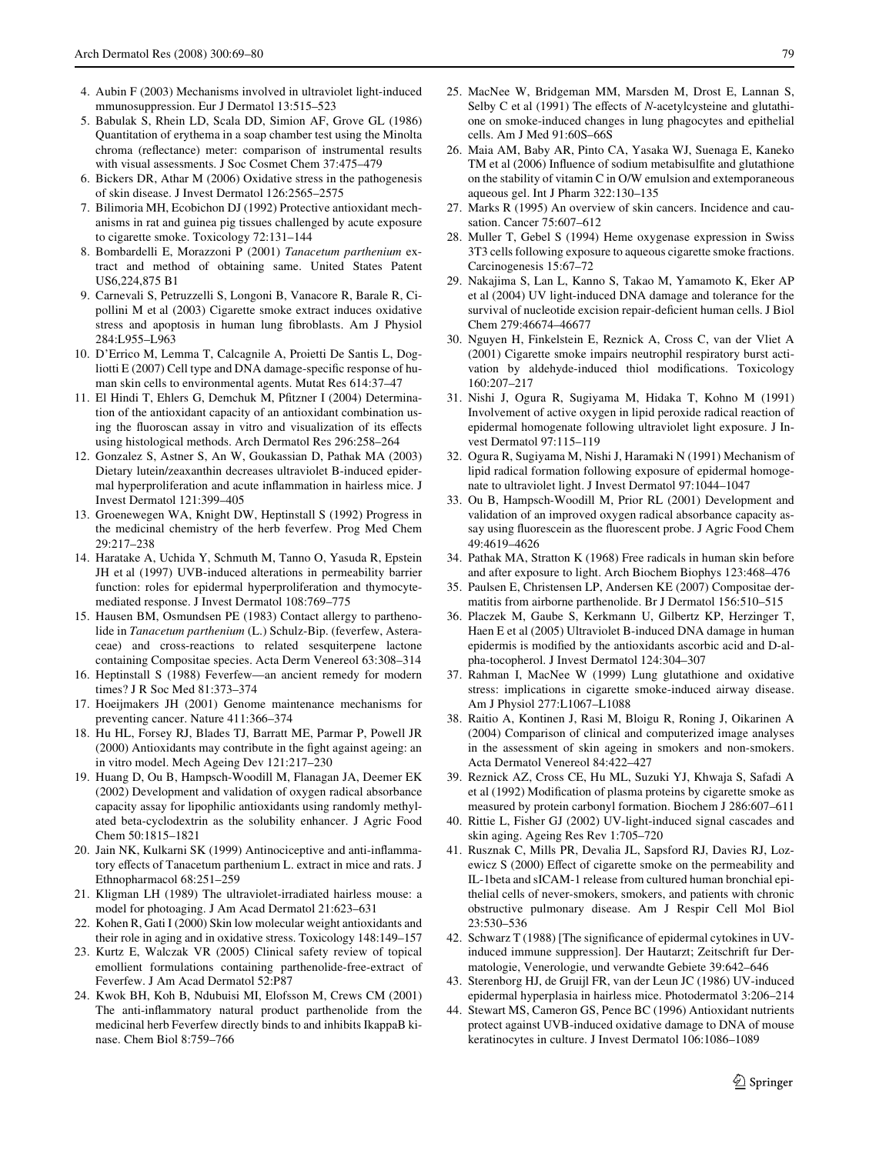- 4. Aubin F (2003) Mechanisms involved in ultraviolet light-induced mmunosuppression. Eur J Dermatol 13:515–523
- 5. Babulak S, Rhein LD, Scala DD, Simion AF, Grove GL (1986) Quantitation of erythema in a soap chamber test using the Minolta chroma (reflectance) meter: comparison of instrumental results with visual assessments. J Soc Cosmet Chem 37:475–479
- 6. Bickers DR, Athar M (2006) Oxidative stress in the pathogenesis of skin disease. J Invest Dermatol 126:2565–2575
- 7. Bilimoria MH, Ecobichon DJ (1992) Protective antioxidant mechanisms in rat and guinea pig tissues challenged by acute exposure to cigarette smoke. Toxicology 72:131–144
- 8. Bombardelli E, Morazzoni P (2001) *Tanacetum parthenium* extract and method of obtaining same. United States Patent US6,224,875 B1
- 9. Carnevali S, Petruzzelli S, Longoni B, Vanacore R, Barale R, Cipollini M et al (2003) Cigarette smoke extract induces oxidative stress and apoptosis in human lung fibroblasts. Am J Physiol 284:L955–L963
- 10. D'Errico M, Lemma T, Calcagnile A, Proietti De Santis L, Dogliotti E  $(2007)$  Cell type and DNA damage-specific response of human skin cells to environmental agents. Mutat Res 614:37–47
- 11. El Hindi T, Ehlers G, Demchuk M, Pfitzner I (2004) Determination of the antioxidant capacity of an antioxidant combination using the fluoroscan assay in vitro and visualization of its effects using histological methods. Arch Dermatol Res 296:258–264
- 12. Gonzalez S, Astner S, An W, Goukassian D, Pathak MA (2003) Dietary lutein/zeaxanthin decreases ultraviolet B-induced epidermal hyperproliferation and acute inflammation in hairless mice. J Invest Dermatol 121:399–405
- 13. Groenewegen WA, Knight DW, Heptinstall S (1992) Progress in the medicinal chemistry of the herb feverfew. Prog Med Chem 29:217–238
- 14. Haratake A, Uchida Y, Schmuth M, Tanno O, Yasuda R, Epstein JH et al (1997) UVB-induced alterations in permeability barrier function: roles for epidermal hyperproliferation and thymocytemediated response. J Invest Dermatol 108:769–775
- 15. Hausen BM, Osmundsen PE (1983) Contact allergy to parthenolide in *Tanacetum parthenium* (L.) Schulz-Bip. (feverfew, Asteraceae) and cross-reactions to related sesquiterpene lactone containing Compositae species. Acta Derm Venereol 63:308–314
- 16. Heptinstall S (1988) Feverfew—an ancient remedy for modern times? J R Soc Med 81:373–374
- 17. Hoeijmakers JH (2001) Genome maintenance mechanisms for preventing cancer. Nature 411:366–374
- 18. Hu HL, Forsey RJ, Blades TJ, Barratt ME, Parmar P, Powell JR  $(2000)$  Antioxidants may contribute in the fight against ageing: an in vitro model. Mech Ageing Dev 121:217–230
- 19. Huang D, Ou B, Hampsch-Woodill M, Flanagan JA, Deemer EK (2002) Development and validation of oxygen radical absorbance capacity assay for lipophilic antioxidants using randomly methylated beta-cyclodextrin as the solubility enhancer. J Agric Food Chem 50:1815–1821
- 20. Jain NK, Kulkarni SK (1999) Antinociceptive and anti-inflammatory effects of Tanacetum parthenium L. extract in mice and rats. J Ethnopharmacol 68:251–259
- 21. Kligman LH (1989) The ultraviolet-irradiated hairless mouse: a model for photoaging. J Am Acad Dermatol 21:623–631
- 22. Kohen R, Gati I (2000) Skin low molecular weight antioxidants and their role in aging and in oxidative stress. Toxicology 148:149–157
- 23. Kurtz E, Walczak VR (2005) Clinical safety review of topical emollient formulations containing parthenolide-free-extract of Feverfew. J Am Acad Dermatol 52:P87
- 24. Kwok BH, Koh B, Ndubuisi MI, Elofsson M, Crews CM (2001) The anti-inflammatory natural product parthenolide from the medicinal herb Feverfew directly binds to and inhibits IkappaB kinase. Chem Biol 8:759–766
- 25. MacNee W, Bridgeman MM, Marsden M, Drost E, Lannan S, Selby C et al (1991) The effects of *N*-acetylcysteine and glutathione on smoke-induced changes in lung phagocytes and epithelial cells. Am J Med 91:60S–66S
- 26. Maia AM, Baby AR, Pinto CA, Yasaka WJ, Suenaga E, Kaneko TM et al (2006) Influence of sodium metabisulfite and glutathione on the stability of vitamin C in O/W emulsion and extemporaneous aqueous gel. Int J Pharm 322:130–135
- 27. Marks R (1995) An overview of skin cancers. Incidence and causation. Cancer 75:607–612
- 28. Muller T, Gebel S (1994) Heme oxygenase expression in Swiss 3T3 cells following exposure to aqueous cigarette smoke fractions. Carcinogenesis 15:67–72
- 29. Nakajima S, Lan L, Kanno S, Takao M, Yamamoto K, Eker AP et al (2004) UV light-induced DNA damage and tolerance for the survival of nucleotide excision repair-deficient human cells. J Biol Chem 279:46674–46677
- 30. Nguyen H, Finkelstein E, Reznick A, Cross C, van der Vliet A (2001) Cigarette smoke impairs neutrophil respiratory burst activation by aldehyde-induced thiol modifications. Toxicology 160:207–217
- 31. Nishi J, Ogura R, Sugiyama M, Hidaka T, Kohno M (1991) Involvement of active oxygen in lipid peroxide radical reaction of epidermal homogenate following ultraviolet light exposure. J Invest Dermatol 97:115–119
- 32. Ogura R, Sugiyama M, Nishi J, Haramaki N (1991) Mechanism of lipid radical formation following exposure of epidermal homogenate to ultraviolet light. J Invest Dermatol 97:1044–1047
- 33. Ou B, Hampsch-Woodill M, Prior RL (2001) Development and validation of an improved oxygen radical absorbance capacity assay using fluorescein as the fluorescent probe. J Agric Food Chem 49:4619–4626
- 34. Pathak MA, Stratton K (1968) Free radicals in human skin before and after exposure to light. Arch Biochem Biophys 123:468–476
- 35. Paulsen E, Christensen LP, Andersen KE (2007) Compositae dermatitis from airborne parthenolide. Br J Dermatol 156:510–515
- 36. Placzek M, Gaube S, Kerkmann U, Gilbertz KP, Herzinger T, Haen E et al (2005) Ultraviolet B-induced DNA damage in human epidermis is modified by the antioxidants ascorbic acid and D-alpha-tocopherol. J Invest Dermatol 124:304–307
- 37. Rahman I, MacNee W (1999) Lung glutathione and oxidative stress: implications in cigarette smoke-induced airway disease. Am J Physiol 277:L1067–L1088
- 38. Raitio A, Kontinen J, Rasi M, Bloigu R, Roning J, Oikarinen A (2004) Comparison of clinical and computerized image analyses in the assessment of skin ageing in smokers and non-smokers. Acta Dermatol Venereol 84:422–427
- 39. Reznick AZ, Cross CE, Hu ML, Suzuki YJ, Khwaja S, Safadi A et al (1992) Modification of plasma proteins by cigarette smoke as measured by protein carbonyl formation. Biochem J 286:607–611
- 40. Rittie L, Fisher GJ (2002) UV-light-induced signal cascades and skin aging. Ageing Res Rev 1:705–720
- 41. Rusznak C, Mills PR, Devalia JL, Sapsford RJ, Davies RJ, Lozewicz S (2000) Effect of cigarette smoke on the permeability and IL-1beta and sICAM-1 release from cultured human bronchial epithelial cells of never-smokers, smokers, and patients with chronic obstructive pulmonary disease. Am J Respir Cell Mol Biol 23:530–536
- 42. Schwarz T (1988) [The significance of epidermal cytokines in UVinduced immune suppression]. Der Hautarzt; Zeitschrift fur Dermatologie, Venerologie, und verwandte Gebiete 39:642–646
- 43. Sterenborg HJ, de Gruijl FR, van der Leun JC (1986) UV-induced epidermal hyperplasia in hairless mice. Photodermatol 3:206–214
- 44. Stewart MS, Cameron GS, Pence BC (1996) Antioxidant nutrients protect against UVB-induced oxidative damage to DNA of mouse keratinocytes in culture. J Invest Dermatol 106:1086–1089